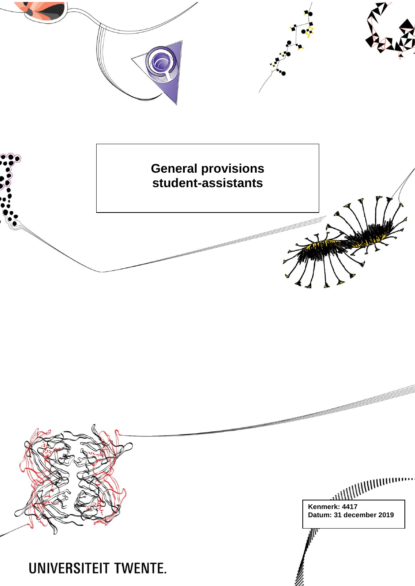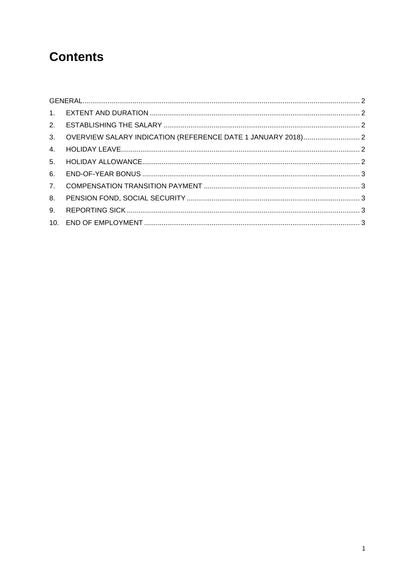# **Contents**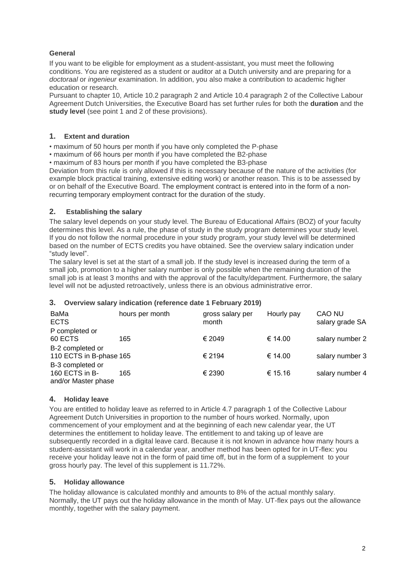## <span id="page-2-0"></span>**General**

If you want to be eligible for employment as a student-assistant, you must meet the following conditions. You are registered as a student or auditor at a Dutch university and are preparing for a *doctoraal* or *ingenieur* examination. In addition, you also make a contribution to academic higher education or research.

Pursuant to chapter 10, Article 10.2 paragraph 2 and Article 10.4 paragraph 2 of the Collective Labour Agreement Dutch Universities, the Executive Board has set further rules for both the **duration** and the **study level** (see point 1 and 2 of these provisions).

#### <span id="page-2-1"></span>**1. Extent and duration**

• maximum of 50 hours per month if you have only completed the P-phase

• maximum of 66 hours per month if you have completed the B2-phase

• maximum of 83 hours per month if you have completed the B3-phase

Deviation from this rule is only allowed if this is necessary because of the nature of the activities (for example block practical training, extensive editing work) or another reason. This is to be assessed by or on behalf of the Executive Board. The employment contract is entered into in the form of a nonrecurring temporary employment contract for the duration of the study.

## <span id="page-2-2"></span>**2. Establishing the salary**

The salary level depends on your study level. The Bureau of Educational Affairs (BOZ) of your faculty determines this level. As a rule, the phase of study in the study program determines your study level. If you do not follow the normal procedure in your study program, your study level will be determined based on the number of ECTS credits you have obtained. See the overview salary indication under "study level".

The salary level is set at the start of a small job. If the study level is increased during the term of a small job, promotion to a higher salary number is only possible when the remaining duration of the small job is at least 3 months and with the approval of the faculty/department. Furthermore, the salary level will not be adjusted retroactively, unless there is an obvious administrative error.

# <span id="page-2-3"></span>**3. Overview salary indication (reference date 1 February 2019)**

| BaMa<br><b>ECTS</b>     | hours per month | gross salary per<br>month | Hourly pay | CAO NU<br>salary grade SA |
|-------------------------|-----------------|---------------------------|------------|---------------------------|
| P completed or          |                 |                           |            |                           |
| 60 ECTS                 | 165             | € 2049                    | € 14.00    | salary number 2           |
| B-2 completed or        |                 |                           |            |                           |
| 110 ECTS in B-phase 165 |                 | € 2194                    | € 14.00    | salary number 3           |
| B-3 completed or        |                 |                           |            |                           |
| 160 ECTS in B-          | 165             | € 2390                    | € 15.16    | salary number 4           |
| and/or Master phase     |                 |                           |            |                           |

#### <span id="page-2-4"></span>**4. Holiday leave**

You are entitled to holiday leave as referred to in Article 4.7 paragraph 1 of the Collective Labour Agreement Dutch Universities in proportion to the number of hours worked. Normally, upon commencement of your employment and at the beginning of each new calendar year, the UT determines the entitlement to holiday leave. The entitlement to and taking up of leave are subsequently recorded in a digital leave card. Because it is not known in advance how many hours a student-assistant will work in a calendar year, another method has been opted for in UT-flex: you receive your holiday leave not in the form of paid time off, but in the form of a supplement to your gross hourly pay. The level of this supplement is 11.72%.

#### <span id="page-2-5"></span>**5. Holiday allowance**

The holiday allowance is calculated monthly and amounts to 8% of the actual monthly salary. Normally, the UT pays out the holiday allowance in the month of May. UT-flex pays out the allowance monthly, together with the salary payment.